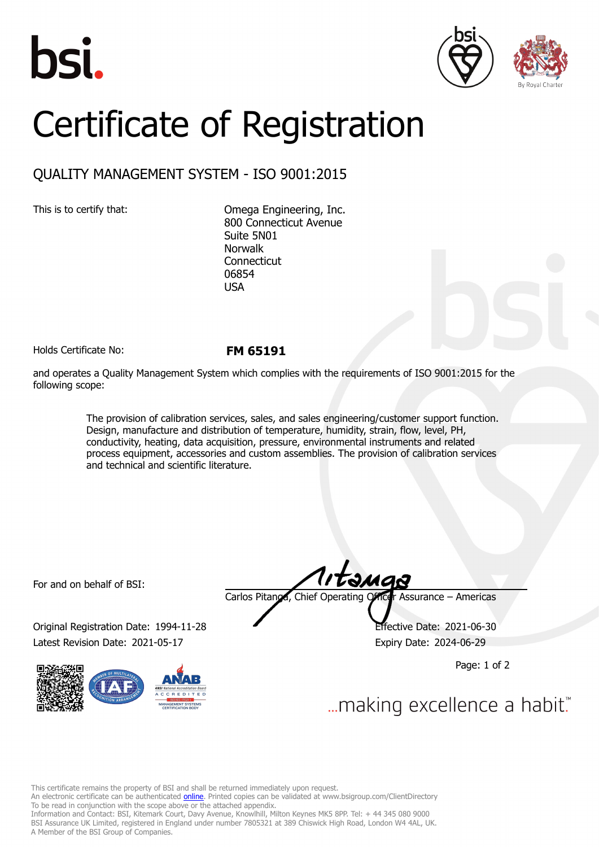





## Certificate of Registration

## QUALITY MANAGEMENT SYSTEM - ISO 9001:2015

This is to certify that: Omega Engineering, Inc. 800 Connecticut Avenue Suite 5N01 Norwalk Connecticut 06854 USA

Holds Certificate No: **FM 65191**

and operates a Quality Management System which complies with the requirements of ISO 9001:2015 for the following scope:

> The provision of calibration services, sales, and sales engineering/customer support function. Design, manufacture and distribution of temperature, humidity, strain, flow, level, PH, conductivity, heating, data acquisition, pressure, environmental instruments and related process equipment, accessories and custom assemblies. The provision of calibration services and technical and scientific literature.

For and on behalf of BSI:

Original Registration Date: 1994-11-28 Effective Date: 2021-06-30 Latest Revision Date: 2021-05-17 **Expiry Date: 2024-06-29** 



Carlos Pitanga, Chief Operating Officer Assurance – Americas

Page: 1 of 2

... making excellence a habit."

This certificate remains the property of BSI and shall be returned immediately upon request.

An electronic certificate can be authenticated *[online](https://pgplus.bsigroup.com/CertificateValidation/CertificateValidator.aspx?CertificateNumber=FM+65191&ReIssueDate=17%2f05%2f2021&Template=inc)*. Printed copies can be validated at www.bsigroup.com/ClientDirectory To be read in conjunction with the scope above or the attached appendix.

Information and Contact: BSI, Kitemark Court, Davy Avenue, Knowlhill, Milton Keynes MK5 8PP. Tel: + 44 345 080 9000 BSI Assurance UK Limited, registered in England under number 7805321 at 389 Chiswick High Road, London W4 4AL, UK. A Member of the BSI Group of Companies.